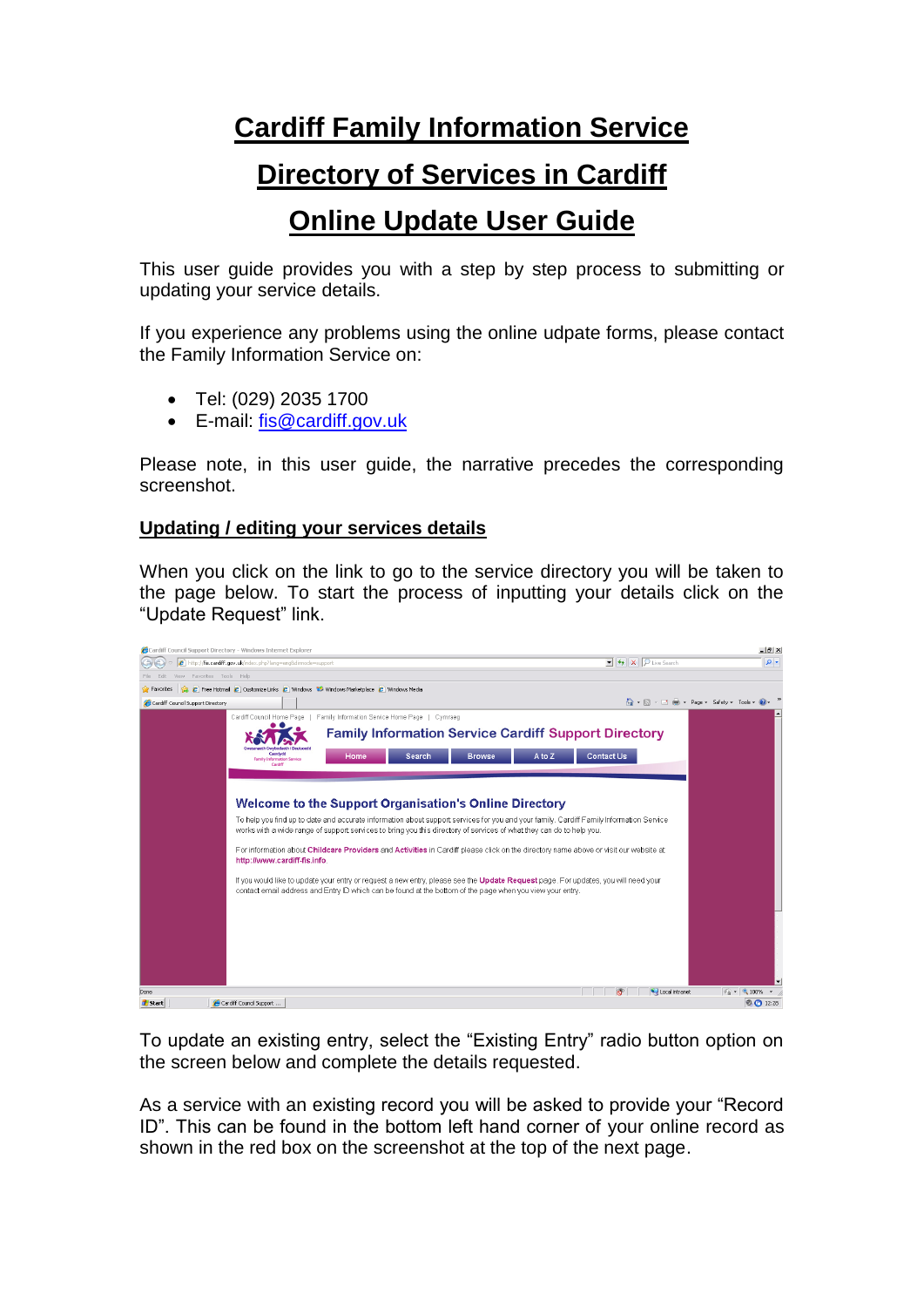## **Cardiff Family Information Service**

## **Directory of Services in Cardiff**

## **Online Update User Guide**

This user guide provides you with a step by step process to submitting or updating your service details.

If you experience any problems using the online udpate forms, please contact the Family Information Service on:

- Tel: (029) 2035 1700
- E-mail: [fis@cardiff.gov.uk](mailto:fis@cardiff.gov.uk)

Please note, in this user guide, the narrative precedes the corresponding screenshot.

## **Updating / editing your services details**

When you click on the link to go to the service directory you will be taken to the page below. To start the process of inputting your details click on the "Update Request" link.



To update an existing entry, select the "Existing Entry" radio button option on the screen below and complete the details requested.

As a service with an existing record you will be asked to provide your "Record ID". This can be found in the bottom left hand corner of your online record as shown in the red box on the screenshot at the top of the next page.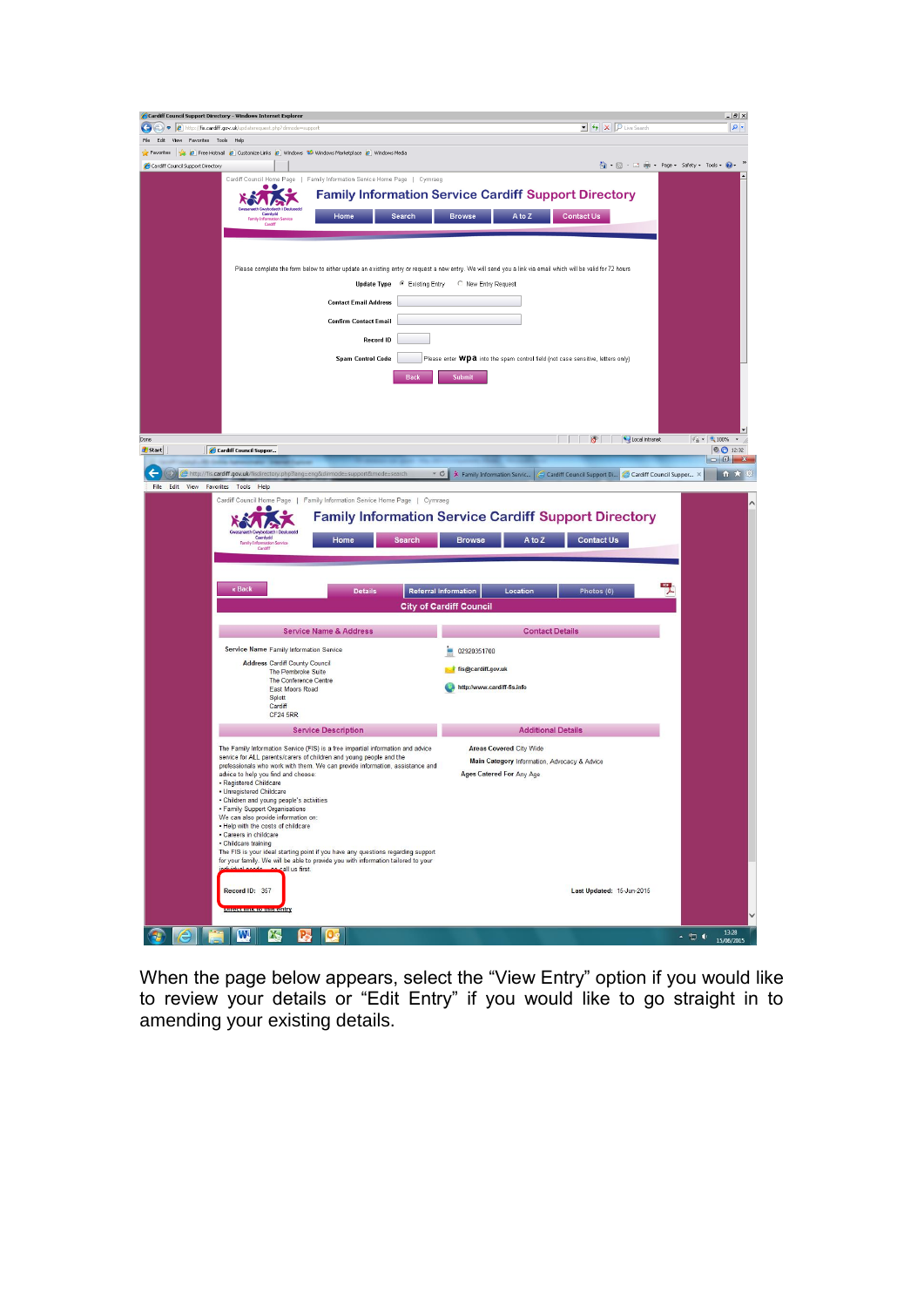| Cardiff Council Support Directory - Windows Internet Explorer                                                                                       |                                                                                                                                                              | $-10 \times$                                |
|-----------------------------------------------------------------------------------------------------------------------------------------------------|--------------------------------------------------------------------------------------------------------------------------------------------------------------|---------------------------------------------|
| http://fis.cardiff.gov.uk/updaterequest.php?dimode=support                                                                                          | $\bullet$ $\bullet$ $\times$ $\boxed{\rho}$ Live Search                                                                                                      | $\rho$ .                                    |
| Favorites Tools Help                                                                                                                                |                                                                                                                                                              |                                             |
| E Free Hotmail E Customize Links E Windows Na Merketplace E Windows Media<br>Cardiff Council Support Directory                                      | <b>个 同 回曲 Page Safety Fools ©</b>                                                                                                                            |                                             |
| Cardiff Council Home Page   Family Information Service Home Page   Cymraeg                                                                          |                                                                                                                                                              |                                             |
| . .                                                                                                                                                 | <b>Family Information Service Cardiff Support Directory</b>                                                                                                  |                                             |
|                                                                                                                                                     |                                                                                                                                                              |                                             |
| Home<br>Search<br>Cardif                                                                                                                            | A to Z<br><b>Browse</b><br><b>Contact Us</b>                                                                                                                 |                                             |
|                                                                                                                                                     |                                                                                                                                                              |                                             |
|                                                                                                                                                     |                                                                                                                                                              |                                             |
|                                                                                                                                                     | Please complete the form below to either update an existing entry or request a new entry. We will send you a link via email which will be valid for 72 hours |                                             |
| <b>Update Type</b>                                                                                                                                  | ● Existing Entry<br>C New Entry Request                                                                                                                      |                                             |
|                                                                                                                                                     |                                                                                                                                                              |                                             |
| <b>Contact Email Address</b>                                                                                                                        |                                                                                                                                                              |                                             |
| <b>Confirm Contact Email</b>                                                                                                                        |                                                                                                                                                              |                                             |
| <b>Record ID</b>                                                                                                                                    |                                                                                                                                                              |                                             |
| <b>Spam Control Code</b>                                                                                                                            | Please enter WDa into the spam control field (not case sensitive, letters only)                                                                              |                                             |
|                                                                                                                                                     |                                                                                                                                                              |                                             |
| Back                                                                                                                                                | Submit                                                                                                                                                       |                                             |
|                                                                                                                                                     |                                                                                                                                                              |                                             |
|                                                                                                                                                     |                                                                                                                                                              |                                             |
|                                                                                                                                                     |                                                                                                                                                              |                                             |
| Cardiff Council Suppor                                                                                                                              | C Local intranet                                                                                                                                             | $\frac{1}{2}$ - 2,100% -<br>$\odot$ 0 12:32 |
|                                                                                                                                                     |                                                                                                                                                              | $\blacksquare$                              |
| http://fis.cardiff.gov.uk/fisdirectory.php?lang=eng&dirmode=support&mode=search                                                                     | $-c$<br>* Family Information Servic<br>Cardiff Council Support Di<br>Cardiff Council Suppor X                                                                | ← ★                                         |
| File Edit View Favorites Tools Help                                                                                                                 |                                                                                                                                                              |                                             |
| Cardiff Council Home Page   Family Information Service Home Page   Cymraeg                                                                          |                                                                                                                                                              |                                             |
|                                                                                                                                                     |                                                                                                                                                              |                                             |
| Caerdydd<br>Home<br><b>Search</b><br>Family Infor<br>ation Service<br>Cardiff                                                                       | <b>Family Information Service Cardiff Support Directory</b><br><b>Contact Us</b><br>A to Z<br><b>Browse</b>                                                  |                                             |
| « Back<br><b>Details</b>                                                                                                                            | <b>Referral Information</b><br>Location<br>Photos (0)<br><b>City of Cardiff Council</b>                                                                      |                                             |
| <b>Service Name &amp; Address</b>                                                                                                                   | <b>Contact Details</b>                                                                                                                                       |                                             |
| Service Name Family Information Service                                                                                                             | 02920351700                                                                                                                                                  |                                             |
| <b>Address Cardiff County Council</b>                                                                                                               |                                                                                                                                                              |                                             |
| The Pembroke Suite<br>The Conference Centre                                                                                                         | fis@cardiff.gov.uk                                                                                                                                           |                                             |
| <b>East Moors Road</b><br>Splott                                                                                                                    | http://www.cardiff-fis.info                                                                                                                                  |                                             |
| Cardiff                                                                                                                                             |                                                                                                                                                              |                                             |
| <b>CF24 5RR</b>                                                                                                                                     |                                                                                                                                                              |                                             |
| <b>Service Description</b>                                                                                                                          | <b>Additional Details</b>                                                                                                                                    |                                             |
| The Family Information Service (FIS) is a free impartial information and advice                                                                     | <b>Areas Covered City Wide</b>                                                                                                                               |                                             |
| service for ALL parents/carers of children and young people and the<br>professionals who work with them. We can provide information, assistance and | Main Category Information, Advocacy & Advice                                                                                                                 |                                             |
| advice to help you find and choose:<br>· Registered Childcare                                                                                       | Ages Catered For Any Age                                                                                                                                     |                                             |
| · Unregistered Childcare                                                                                                                            |                                                                                                                                                              |                                             |
| · Children and young people's activities<br>· Family Support Organisations                                                                          |                                                                                                                                                              |                                             |
| We can also provide information on:<br>. Help with the costs of childcare                                                                           |                                                                                                                                                              |                                             |
| · Careers in childcare                                                                                                                              |                                                                                                                                                              |                                             |
| · Childcare training<br>The FIS is your ideal starting point if you have any questions regarding support                                            |                                                                                                                                                              |                                             |
| for your family. We will be able to provide you with information tailored to your<br>call us first.                                                 |                                                                                                                                                              |                                             |
|                                                                                                                                                     |                                                                                                                                                              |                                             |
| Record ID: 357                                                                                                                                      | Last Updated: 15-Jun-2015                                                                                                                                    |                                             |
| <u>enecemna compactify</u>                                                                                                                          |                                                                                                                                                              |                                             |

When the page below appears, select the "View Entry" option if you would like to review your details or "Edit Entry" if you would like to go straight in to amending your existing details.